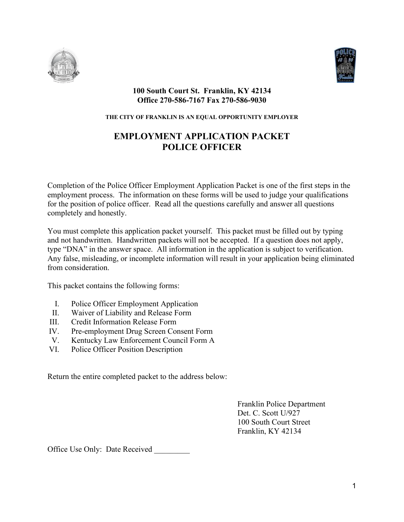



#### **100 South Court St. Franklin, KY 42134 Office 270-586-7167 Fax 270-586-9030**

#### **THE CITY OF FRANKLIN IS AN EQUAL OPPORTUNITY EMPLOYER**

# **EMPLOYMENT APPLICATION PACKET POLICE OFFICER**

Completion of the Police Officer Employment Application Packet is one of the first steps in the employment process. The information on these forms will be used to judge your qualifications for the position of police officer. Read all the questions carefully and answer all questions completely and honestly.

You must complete this application packet yourself. This packet must be filled out by typing and not handwritten. Handwritten packets will not be accepted. If a question does not apply, type "DNA" in the answer space. All information in the application is subject to verification. Any false, misleading, or incomplete information will result in your application being eliminated from consideration.

This packet contains the following forms:

- I. Police Officer Employment Application
- II. Waiver of Liability and Release Form
- III. Credit Information Release Form
- IV. Pre-employment Drug Screen Consent Form
- V. Kentucky Law Enforcement Council Form A
- VI. Police Officer Position Description

Return the entire completed packet to the address below:

Franklin Police Department Det. C. Scott U/927 100 South Court Street Franklin, KY 42134

Office Use Only: Date Received \_\_\_\_\_\_\_\_\_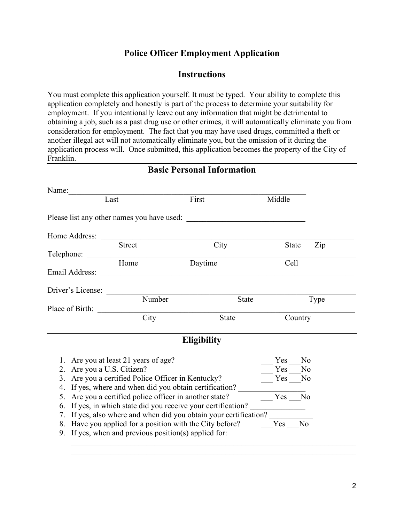## **Police Officer Employment Application**

### **Instructions**

You must complete this application yourself. It must be typed. Your ability to complete this application completely and honestly is part of the process to determine your suitability for employment. If you intentionally leave out any information that might be detrimental to obtaining a job, such as a past drug use or other crimes, it will automatically eliminate you from consideration for employment. The fact that you may have used drugs, committed a theft or another illegal act will not automatically eliminate you, but the omission of it during the application process will. Once submitted, this application becomes the property of the City of Franklin.

| Name:                      |                                                       |                                                                                                                      |              |                |
|----------------------------|-------------------------------------------------------|----------------------------------------------------------------------------------------------------------------------|--------------|----------------|
|                            | Last                                                  | First                                                                                                                | Middle       |                |
|                            |                                                       | Please list any other names you have used:                                                                           |              |                |
| Home Address:              |                                                       |                                                                                                                      |              |                |
|                            | <b>Street</b>                                         | City                                                                                                                 | <b>State</b> | Zip            |
| Telephone:                 |                                                       |                                                                                                                      |              |                |
|                            | Home                                                  | Daytime                                                                                                              | Cell         |                |
| Email Address:             |                                                       | <u> 1989 - Johann John Stone, mars eta bainar eta bainar eta baina eta baina eta baina eta baina eta baina eta b</u> |              |                |
| Driver's License:          |                                                       |                                                                                                                      |              |                |
|                            | Number                                                | <b>State</b>                                                                                                         |              | Type           |
| Place of Birth:            |                                                       |                                                                                                                      |              |                |
|                            | City                                                  | <b>State</b>                                                                                                         | Country      |                |
|                            |                                                       | <b>Eligibility</b>                                                                                                   |              |                |
|                            | 1. Are you at least 21 years of age?                  |                                                                                                                      | Yes          | N <sub>o</sub> |
| 2. Are you a U.S. Citizen? |                                                       |                                                                                                                      | Yes          | N <sub>o</sub> |
|                            | 3. Are you a certified Police Officer in Kentucky?    |                                                                                                                      | Yes          | No             |
|                            |                                                       | 4. If yes, where and when did you obtain certification?                                                              |              |                |
| 5.                         | Are you a certified police officer in another state?  |                                                                                                                      | Yes          | No             |
|                            |                                                       | 6. If yes, in which state did you receive your certification?                                                        |              |                |
|                            |                                                       | 7. If yes, also where and when did you obtain your certification?                                                    |              |                |
|                            |                                                       | 8. Have you applied for a position with the City before?                                                             | $Yes_$       | No             |
|                            | 9. If yes, when and previous position(s) applied for: |                                                                                                                      |              |                |

 $\_$  , and the set of the set of the set of the set of the set of the set of the set of the set of the set of the set of the set of the set of the set of the set of the set of the set of the set of the set of the set of th

**Basic Personal Information**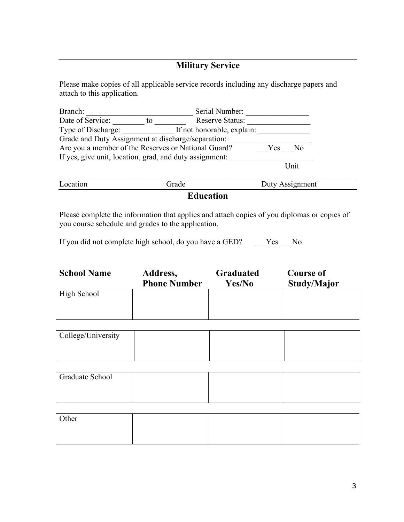# **Military Service**

Please make copies of all applicable service records including any discharge papers and attach to this application.

| Branch:                                                 |    | Serial Number:             |     |                 |  |
|---------------------------------------------------------|----|----------------------------|-----|-----------------|--|
| Date of Service:                                        | to | <b>Reserve Status:</b>     |     |                 |  |
| Type of Discharge:                                      |    | If not honorable, explain: |     |                 |  |
| Grade and Duty Assignment at discharge/separation:      |    |                            |     |                 |  |
| Are you a member of the Reserves or National Guard?     |    |                            | Yes | N <sub>0</sub>  |  |
| If yes, give unit, location, grad, and duty assignment: |    |                            |     |                 |  |
|                                                         |    |                            |     | Unit            |  |
| Location                                                |    | Grade                      |     | Duty Assignment |  |
|                                                         |    |                            |     |                 |  |

**Education**

Please complete the information that applies and attach copies of you diplomas or copies of you course schedule and grades to the application.

If you did not complete high school, do you have a GED? \_\_\_Yes \_\_No

| <b>School Name</b> | Address,            | <b>Graduated</b> | <b>Course of</b> |
|--------------------|---------------------|------------------|------------------|
|                    | <b>Phone Number</b> | Yes/No           | Study/Major      |
| High School        |                     |                  |                  |

| College/University |  |  |
|--------------------|--|--|
|                    |  |  |
|                    |  |  |

| Graduate School |  |  |
|-----------------|--|--|
|                 |  |  |
|                 |  |  |

| Other |  |  |
|-------|--|--|
|       |  |  |
|       |  |  |
|       |  |  |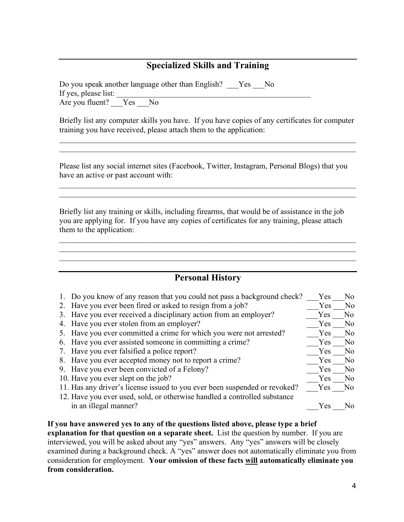# **Specialized Skills and Training**

Do you speak another language other than English? Yes No If yes, please list: Are you fluent? Yes No

Briefly list any computer skills you have. If you have copies of any certificates for computer training you have received, please attach them to the application:

\_\_\_\_\_\_\_\_\_\_\_\_\_\_\_\_\_\_\_\_\_\_\_\_\_\_\_\_\_\_\_\_\_\_\_\_\_\_\_\_\_\_\_\_\_\_\_\_\_\_\_\_\_\_\_\_\_\_\_\_\_\_\_\_\_\_\_\_\_\_\_\_\_\_\_  $\mathcal{L}_\mathcal{L} = \mathcal{L}_\mathcal{L} = \mathcal{L}_\mathcal{L} = \mathcal{L}_\mathcal{L} = \mathcal{L}_\mathcal{L} = \mathcal{L}_\mathcal{L} = \mathcal{L}_\mathcal{L} = \mathcal{L}_\mathcal{L} = \mathcal{L}_\mathcal{L} = \mathcal{L}_\mathcal{L} = \mathcal{L}_\mathcal{L} = \mathcal{L}_\mathcal{L} = \mathcal{L}_\mathcal{L} = \mathcal{L}_\mathcal{L} = \mathcal{L}_\mathcal{L} = \mathcal{L}_\mathcal{L} = \mathcal{L}_\mathcal{L}$ 

Please list any social internet sites (Facebook, Twitter, Instagram, Personal Blogs) that you have an active or past account with:

\_\_\_\_\_\_\_\_\_\_\_\_\_\_\_\_\_\_\_\_\_\_\_\_\_\_\_\_\_\_\_\_\_\_\_\_\_\_\_\_\_\_\_\_\_\_\_\_\_\_\_\_\_\_\_\_\_\_\_\_\_\_\_\_\_\_\_\_\_\_\_\_\_\_\_  $\mathcal{L}_\mathcal{L} = \mathcal{L}_\mathcal{L} = \mathcal{L}_\mathcal{L} = \mathcal{L}_\mathcal{L} = \mathcal{L}_\mathcal{L} = \mathcal{L}_\mathcal{L} = \mathcal{L}_\mathcal{L} = \mathcal{L}_\mathcal{L} = \mathcal{L}_\mathcal{L} = \mathcal{L}_\mathcal{L} = \mathcal{L}_\mathcal{L} = \mathcal{L}_\mathcal{L} = \mathcal{L}_\mathcal{L} = \mathcal{L}_\mathcal{L} = \mathcal{L}_\mathcal{L} = \mathcal{L}_\mathcal{L} = \mathcal{L}_\mathcal{L}$ 

Briefly list any training or skills, including firearms, that would be of assistance in the job you are applying for. If you have any copies of certificates for any training, please attach them to the application:

#### **Personal History**

 $\mathcal{L}_\mathcal{L} = \mathcal{L}_\mathcal{L} = \mathcal{L}_\mathcal{L} = \mathcal{L}_\mathcal{L} = \mathcal{L}_\mathcal{L} = \mathcal{L}_\mathcal{L} = \mathcal{L}_\mathcal{L} = \mathcal{L}_\mathcal{L} = \mathcal{L}_\mathcal{L} = \mathcal{L}_\mathcal{L} = \mathcal{L}_\mathcal{L} = \mathcal{L}_\mathcal{L} = \mathcal{L}_\mathcal{L} = \mathcal{L}_\mathcal{L} = \mathcal{L}_\mathcal{L} = \mathcal{L}_\mathcal{L} = \mathcal{L}_\mathcal{L}$ 

\_\_\_\_\_\_\_\_\_\_\_\_\_\_\_\_\_\_\_\_\_\_\_\_\_\_\_\_\_\_\_\_\_\_\_\_\_\_\_\_\_\_\_\_\_\_\_\_\_\_\_\_\_\_\_\_\_\_\_\_\_\_\_\_\_\_\_\_\_\_\_\_\_\_\_

| 1. Do you know of any reason that you could not pass a background check?   | Yes        | No             |
|----------------------------------------------------------------------------|------------|----------------|
| 2. Have you ever been fired or asked to resign from a job?                 | Yes        | No             |
| 3. Have you ever received a disciplinary action from an employer?          | Yes        | No.            |
| 4. Have you ever stolen from an employer?                                  | Yes        | N <sub>o</sub> |
| 5. Have you ever committed a crime for which you were not arrested?        | Yes        | No             |
| 6. Have you ever assisted someone in committing a crime?                   | Yes        | No             |
| 7. Have you ever falsified a police report?                                | Yes        | No.            |
| 8. Have you ever accepted money not to report a crime?                     | Yes        | No.            |
| 9. Have you ever been convicted of a Felony?                               | <b>Yes</b> | N <sub>0</sub> |
| 10. Have you ever slept on the job?                                        | Yes        | No             |
| 11. Has any driver's license issued to you ever been suspended or revoked? | Yes        | No.            |
| 12. Have you ever used, sold, or otherwise handled a controlled substance  |            |                |
| in an illegal manner?                                                      | Yes        | N٥             |
|                                                                            |            |                |

**If you have answered yes to any of the questions listed above, please type a brief explanation for that question on a separate sheet.** List the question by number. If you are interviewed, you will be asked about any "yes" answers. Any "yes" answers will be closely examined during a background check. A "yes" answer does not automatically eliminate you from consideration for employment. **Your omission of these facts will automatically eliminate you from consideration.**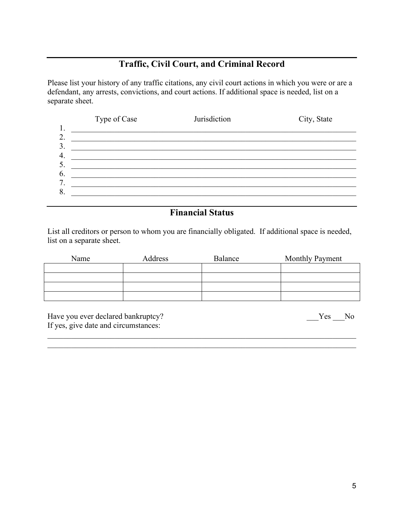# **Traffic, Civil Court, and Criminal Record**

Please list your history of any traffic citations, any civil court actions in which you were or are a defendant, any arrests, convictions, and court actions. If additional space is needed, list on a separate sheet.

|          | Type of Case | Jurisdiction | City, State |
|----------|--------------|--------------|-------------|
| 1.<br>2. |              |              |             |
| 3.       |              |              |             |
| 4.<br>5. |              |              |             |
| 6.       |              |              |             |
| 7.       |              |              |             |
| 8.       |              |              |             |

# **Financial Status**

List all creditors or person to whom you are financially obligated. If additional space is needed, list on a separate sheet.

| Name | Address | Balance | <b>Monthly Payment</b> |
|------|---------|---------|------------------------|
|      |         |         |                        |
|      |         |         |                        |
|      |         |         |                        |
|      |         |         |                        |

\_\_\_\_\_\_\_\_\_\_\_\_\_\_\_\_\_\_\_\_\_\_\_\_\_\_\_\_\_\_\_\_\_\_\_\_\_\_\_\_\_\_\_\_\_\_\_\_\_\_\_\_\_\_\_\_\_\_\_\_\_\_\_\_\_\_\_\_\_\_\_\_\_\_\_\_\_\_ \_\_\_\_\_\_\_\_\_\_\_\_\_\_\_\_\_\_\_\_\_\_\_\_\_\_\_\_\_\_\_\_\_\_\_\_\_\_\_\_\_\_\_\_\_\_\_\_\_\_\_\_\_\_\_\_\_\_\_\_\_\_\_\_\_\_\_\_\_\_\_\_\_\_\_\_\_\_

Have you ever declared bankruptcy? If yes, give date and circumstances: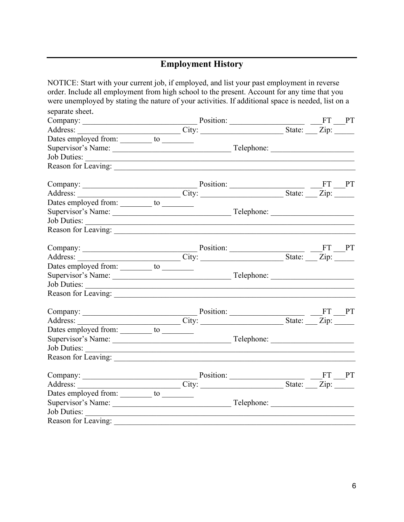# **Employment History**

| NOTICE: Start with your current job, if employed, and list your past employment in reverse                                                                                                                                                        |  |  |  |  |
|---------------------------------------------------------------------------------------------------------------------------------------------------------------------------------------------------------------------------------------------------|--|--|--|--|
| order. Include all employment from high school to the present. Account for any time that you                                                                                                                                                      |  |  |  |  |
| were unemployed by stating the nature of your activities. If additional space is needed, list on a                                                                                                                                                |  |  |  |  |
| separate sheet.                                                                                                                                                                                                                                   |  |  |  |  |
| Company: <u>Company:</u> Position: <u>City: City: City: State: FT</u> PT                                                                                                                                                                          |  |  |  |  |
|                                                                                                                                                                                                                                                   |  |  |  |  |
| Dates employed from: ________ to ________                                                                                                                                                                                                         |  |  |  |  |
|                                                                                                                                                                                                                                                   |  |  |  |  |
|                                                                                                                                                                                                                                                   |  |  |  |  |
|                                                                                                                                                                                                                                                   |  |  |  |  |
|                                                                                                                                                                                                                                                   |  |  |  |  |
|                                                                                                                                                                                                                                                   |  |  |  |  |
|                                                                                                                                                                                                                                                   |  |  |  |  |
|                                                                                                                                                                                                                                                   |  |  |  |  |
|                                                                                                                                                                                                                                                   |  |  |  |  |
|                                                                                                                                                                                                                                                   |  |  |  |  |
|                                                                                                                                                                                                                                                   |  |  |  |  |
|                                                                                                                                                                                                                                                   |  |  |  |  |
| Dates employed from: ________ to ________                                                                                                                                                                                                         |  |  |  |  |
|                                                                                                                                                                                                                                                   |  |  |  |  |
|                                                                                                                                                                                                                                                   |  |  |  |  |
| Reason for Leaving:                                                                                                                                                                                                                               |  |  |  |  |
|                                                                                                                                                                                                                                                   |  |  |  |  |
| Company: <u>Company: Position:</u> Position: <u>City: City: State: FT</u> PT                                                                                                                                                                      |  |  |  |  |
| Dates employed from: ________ to ________                                                                                                                                                                                                         |  |  |  |  |
|                                                                                                                                                                                                                                                   |  |  |  |  |
|                                                                                                                                                                                                                                                   |  |  |  |  |
| Reason for Leaving:                                                                                                                                                                                                                               |  |  |  |  |
|                                                                                                                                                                                                                                                   |  |  |  |  |
| Company: <u>Company: City:</u> Position: <u>City: City: State: FT PT</u><br>City: <u>City: City: City: City: City: City: City: City: City: City: City: City: City: City: City: City: City: City: City: City: City: City: City: City: City: Ci</u> |  |  |  |  |
| Dates employed from: _________ to _________                                                                                                                                                                                                       |  |  |  |  |
|                                                                                                                                                                                                                                                   |  |  |  |  |
| Job Duties:                                                                                                                                                                                                                                       |  |  |  |  |
| Reason for Leaving:                                                                                                                                                                                                                               |  |  |  |  |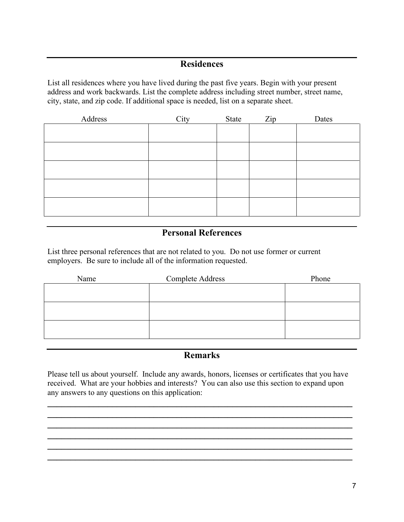### **Residences**

List all residences where you have lived during the past five years. Begin with your present address and work backwards. List the complete address including street number, street name, city, state, and zip code. If additional space is needed, list on a separate sheet.

| Address | City | State | Zip | Dates |
|---------|------|-------|-----|-------|
|         |      |       |     |       |
|         |      |       |     |       |
|         |      |       |     |       |
|         |      |       |     |       |
|         |      |       |     |       |
|         |      |       |     |       |

# **Personal References**

List three personal references that are not related to you. Do not use former or current employers. Be sure to include all of the information requested.

| Name | <b>Complete Address</b> | Phone |
|------|-------------------------|-------|
|      |                         |       |
|      |                         |       |
|      |                         |       |
|      |                         |       |
|      |                         |       |
|      |                         |       |

### **Remarks**

Please tell us about yourself. Include any awards, honors, licenses or certificates that you have received. What are your hobbies and interests? You can also use this section to expand upon any answers to any questions on this application:

**\_\_\_\_\_\_\_\_\_\_\_\_\_\_\_\_\_\_\_\_\_\_\_\_\_\_\_\_\_\_\_\_\_\_\_\_\_\_\_\_\_\_\_\_\_\_\_\_\_\_\_\_\_\_\_\_\_\_\_\_\_\_\_\_\_\_ \_\_\_\_\_\_\_\_\_\_\_\_\_\_\_\_\_\_\_\_\_\_\_\_\_\_\_\_\_\_\_\_\_\_\_\_\_\_\_\_\_\_\_\_\_\_\_\_\_\_\_\_\_\_\_\_\_\_\_\_\_\_\_\_\_\_ \_\_\_\_\_\_\_\_\_\_\_\_\_\_\_\_\_\_\_\_\_\_\_\_\_\_\_\_\_\_\_\_\_\_\_\_\_\_\_\_\_\_\_\_\_\_\_\_\_\_\_\_\_\_\_\_\_\_\_\_\_\_\_\_\_\_ \_\_\_\_\_\_\_\_\_\_\_\_\_\_\_\_\_\_\_\_\_\_\_\_\_\_\_\_\_\_\_\_\_\_\_\_\_\_\_\_\_\_\_\_\_\_\_\_\_\_\_\_\_\_\_\_\_\_\_\_\_\_\_\_\_\_ \_\_\_\_\_\_\_\_\_\_\_\_\_\_\_\_\_\_\_\_\_\_\_\_\_\_\_\_\_\_\_\_\_\_\_\_\_\_\_\_\_\_\_\_\_\_\_\_\_\_\_\_\_\_\_\_\_\_\_\_\_\_\_\_\_\_ \_\_\_\_\_\_\_\_\_\_\_\_\_\_\_\_\_\_\_\_\_\_\_\_\_\_\_\_\_\_\_\_\_\_\_\_\_\_\_\_\_\_\_\_\_\_\_\_\_\_\_\_\_\_\_\_\_\_\_\_\_\_\_\_\_\_**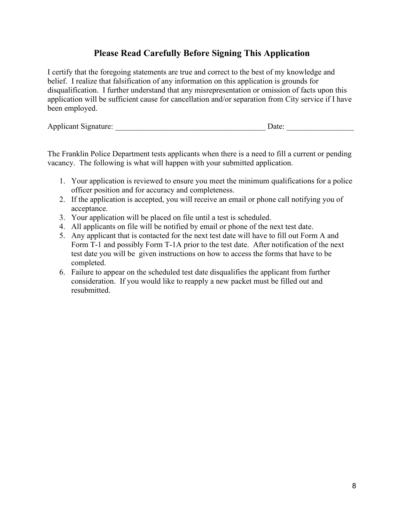# **Please Read Carefully Before Signing This Application**

I certify that the foregoing statements are true and correct to the best of my knowledge and belief. I realize that falsification of any information on this application is grounds for disqualification. I further understand that any misrepresentation or omission of facts upon this application will be sufficient cause for cancellation and/or separation from City service if I have been employed.

Applicant Signature: \_\_\_\_\_\_\_\_\_\_\_\_\_\_\_\_\_\_\_\_\_\_\_\_\_\_\_\_\_\_\_\_\_\_\_\_\_\_ Date: \_\_\_\_\_\_\_\_\_\_\_\_\_\_\_\_\_

The Franklin Police Department tests applicants when there is a need to fill a current or pending vacancy. The following is what will happen with your submitted application.

- 1. Your application is reviewed to ensure you meet the minimum qualifications for a police officer position and for accuracy and completeness.
- 2. If the application is accepted, you will receive an email or phone call notifying you of acceptance.
- 3. Your application will be placed on file until a test is scheduled.
- 4. All applicants on file will be notified by email or phone of the next test date.
- 5. Any applicant that is contacted for the next test date will have to fill out Form A and Form T-1 and possibly Form T-1A prior to the test date. After notification of the next test date you will be given instructions on how to access the forms that have to be completed.
- 6. Failure to appear on the scheduled test date disqualifies the applicant from further consideration. If you would like to reapply a new packet must be filled out and resubmitted.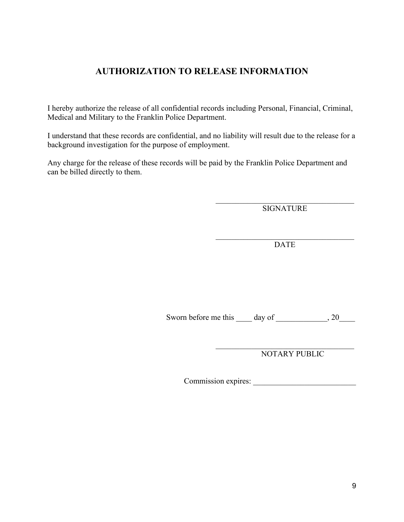## **AUTHORIZATION TO RELEASE INFORMATION**

I hereby authorize the release of all confidential records including Personal, Financial, Criminal, Medical and Military to the Franklin Police Department.

I understand that these records are confidential, and no liability will result due to the release for a background investigation for the purpose of employment.

Any charge for the release of these records will be paid by the Franklin Police Department and can be billed directly to them.

> $\mathcal{L}_\text{max}$  and  $\mathcal{L}_\text{max}$  and  $\mathcal{L}_\text{max}$  and  $\mathcal{L}_\text{max}$ SIGNATURE

> $\mathcal{L}_\mathcal{L}$  , where  $\mathcal{L}_\mathcal{L}$  , we have the set of the set of the set of the set of the set of the set of the set of the set of the set of the set of the set of the set of the set of the set of the set of the set DATE

Sworn before me this \_\_\_\_ day of \_\_\_\_\_\_\_\_\_\_\_, 20\_\_\_\_\_

NOTARY PUBLIC

Commission expires: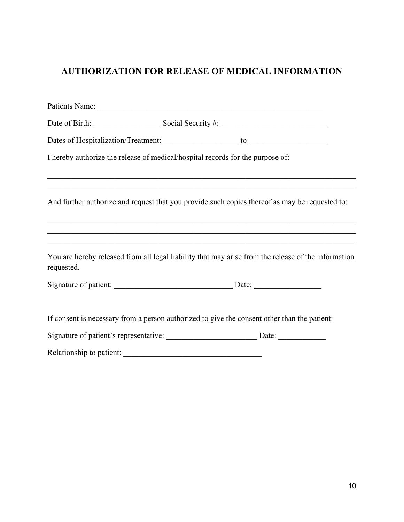# **AUTHORIZATION FOR RELEASE OF MEDICAL INFORMATION**

|            | Date of Birth: Social Security #:                                                                                                                                                  |  |
|------------|------------------------------------------------------------------------------------------------------------------------------------------------------------------------------------|--|
|            |                                                                                                                                                                                    |  |
|            | I hereby authorize the release of medical/hospital records for the purpose of:                                                                                                     |  |
|            |                                                                                                                                                                                    |  |
|            | And further authorize and request that you provide such copies thereof as may be requested to:<br>,我们也不能在这里的时候,我们也不能在这里的时候,我们也不能不能不能会不能会不能会不能会不能会不能会不能会不能会。""我们,我们也不能会不能会不能会不能会不能会 |  |
|            | ,我们也不能在这里的时候,我们也不能在这里的时候,我们也不能会在这里的时候,我们也不能会在这里的时候,我们也不能会在这里的时候,我们也不能会在这里的时候,我们也不                                                                                                  |  |
| requested. | You are hereby released from all legal liability that may arise from the release of the information                                                                                |  |
|            |                                                                                                                                                                                    |  |
|            |                                                                                                                                                                                    |  |
|            | If consent is necessary from a person authorized to give the consent other than the patient:                                                                                       |  |
|            |                                                                                                                                                                                    |  |
|            |                                                                                                                                                                                    |  |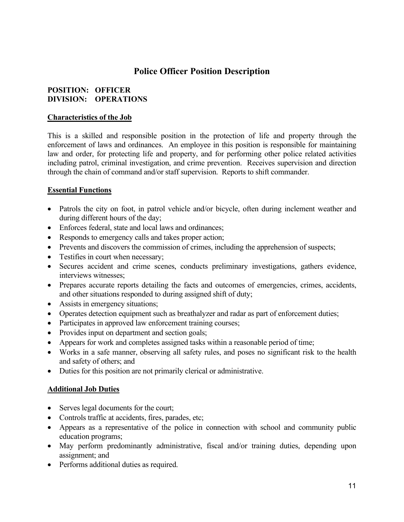## **Police Officer Position Description**

#### **POSITION: OFFICER DIVISION: OPERATIONS**

#### **Characteristics of the Job**

This is a skilled and responsible position in the protection of life and property through the enforcement of laws and ordinances. An employee in this position is responsible for maintaining law and order, for protecting life and property, and for performing other police related activities including patrol, criminal investigation, and crime prevention. Receives supervision and direction through the chain of command and/or staff supervision. Reports to shift commander.

#### **Essential Functions**

- Patrols the city on foot, in patrol vehicle and/or bicycle, often during inclement weather and during different hours of the day;
- Enforces federal, state and local laws and ordinances;
- Responds to emergency calls and takes proper action;
- Prevents and discovers the commission of crimes, including the apprehension of suspects;
- Testifies in court when necessary;
- Secures accident and crime scenes, conducts preliminary investigations, gathers evidence, interviews witnesses;
- Prepares accurate reports detailing the facts and outcomes of emergencies, crimes, accidents, and other situations responded to during assigned shift of duty;
- Assists in emergency situations;
- Operates detection equipment such as breathalyzer and radar as part of enforcement duties;
- Participates in approved law enforcement training courses;
- Provides input on department and section goals;
- Appears for work and completes assigned tasks within a reasonable period of time;
- Works in a safe manner, observing all safety rules, and poses no significant risk to the health and safety of others; and
- Duties for this position are not primarily clerical or administrative.

#### **Additional Job Duties**

- Serves legal documents for the court;
- Controls traffic at accidents, fires, parades, etc;
- Appears as a representative of the police in connection with school and community public education programs;
- May perform predominantly administrative, fiscal and/or training duties, depending upon assignment; and
- Performs additional duties as required.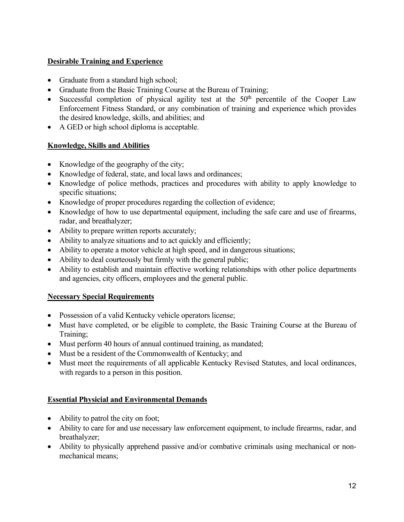#### **Desirable Training and Experience**

- Graduate from a standard high school;
- Graduate from the Basic Training Course at the Bureau of Training;
- Successful completion of physical agility test at the  $50<sup>th</sup>$  percentile of the Cooper Law Enforcement Fitness Standard, or any combination of training and experience which provides the desired knowledge, skills, and abilities; and
- A GED or high school diploma is acceptable.

#### **Knowledge, Skills and Abilities**

- Knowledge of the geography of the city;
- Knowledge of federal, state, and local laws and ordinances;
- Knowledge of police methods, practices and procedures with ability to apply knowledge to specific situations;
- Knowledge of proper procedures regarding the collection of evidence;
- Knowledge of how to use departmental equipment, including the safe care and use of firearms, radar, and breathalyzer;
- Ability to prepare written reports accurately;
- Ability to analyze situations and to act quickly and efficiently;
- Ability to operate a motor vehicle at high speed, and in dangerous situations;
- Ability to deal courteously but firmly with the general public;
- Ability to establish and maintain effective working relationships with other police departments and agencies, city officers, employees and the general public.

#### **Necessary Special Requirements**

- Possession of a valid Kentucky vehicle operators license;
- Must have completed, or be eligible to complete, the Basic Training Course at the Bureau of Training;
- Must perform 40 hours of annual continued training, as mandated;
- Must be a resident of the Commonwealth of Kentucky; and
- Must meet the requirements of all applicable Kentucky Revised Statutes, and local ordinances, with regards to a person in this position.

#### **Essential Physicial and Environmental Demands**

- Ability to patrol the city on foot;
- Ability to care for and use necessary law enforcement equipment, to include firearms, radar, and breathalyzer;
- Ability to physically apprehend passive and/or combative criminals using mechanical or nonmechanical means;